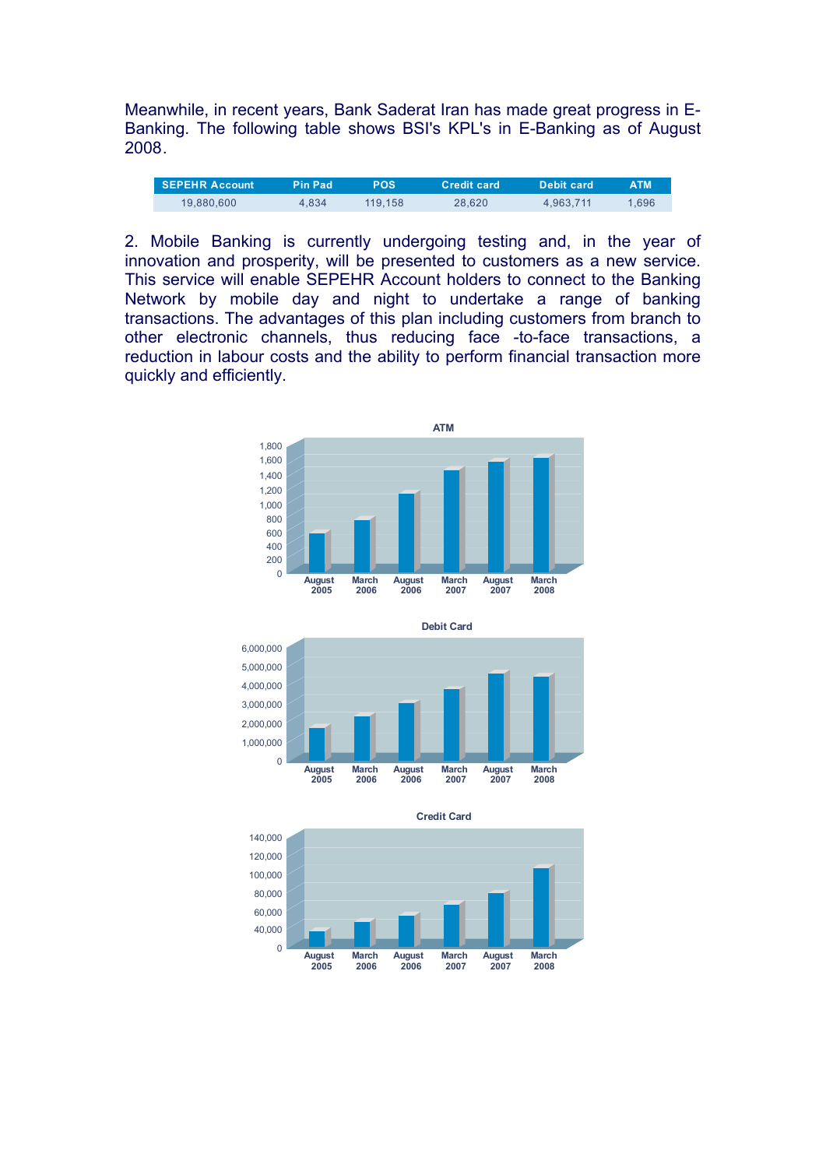Meanwhile, in recent years, Bank Saderat Iran has made great progress in E-Banking. The following table shows BSI's KPL's in E-Banking as of August 2008.

| <b>SEPEHR Account</b> | <b>Pin Pad</b> | POS     | <b>Credit card</b> | Debit card | <b>ATM</b> |
|-----------------------|----------------|---------|--------------------|------------|------------|
| 19,880,600            | 4.834          | 119.158 | 28.620             | 4.963.711  | 1.696      |

2. Mobile Banking is currently undergoing testing and, in the year of innovation and prosperity, will be presented to customers as a new service. This service will enable SEPEHR Account holders to connect to the Banking Network by mobile day and night to undertake a range of banking transactions. The advantages of this plan including customers from branch to other electronic channels, thus reducing face -to-face transactions, a reduction in labour costs and the ability to perform financial transaction more quickly and efficiently.







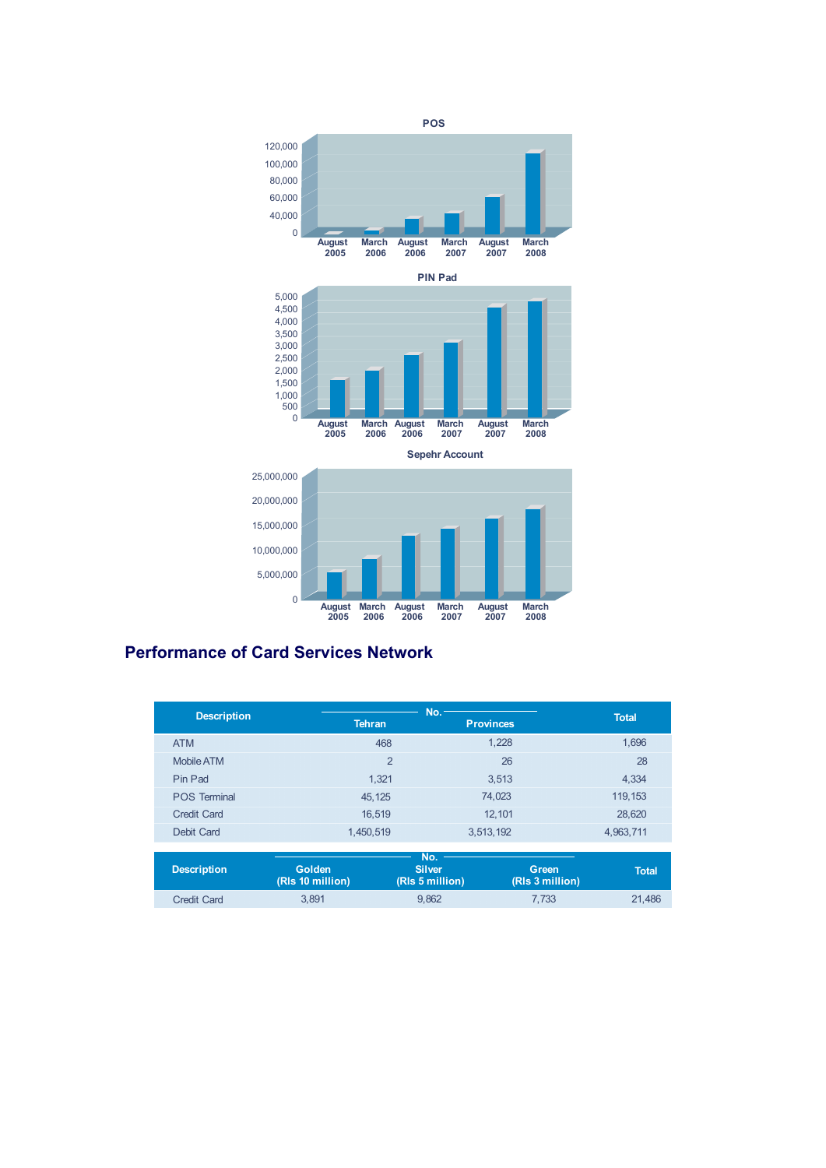

#### 0 **August 2005 March 2006 August 2006 March 2007 August 2007 March 2008**

# **Performance of Card Services Network**

|                     | No.            |                  |              |
|---------------------|----------------|------------------|--------------|
| <b>Description</b>  | <b>Tehran</b>  | <b>Provinces</b> | <b>Total</b> |
| <b>ATM</b>          | 468            | 1,228            | 1,696        |
| Mobile ATM          | $\overline{2}$ | 26               | 28           |
| Pin Pad             | 1,321          | 3,513            | 4,334        |
| <b>POS Terminal</b> | 45, 125        | 74,023           | 119, 153     |
| <b>Credit Card</b>  | 16,519         | 12,101           | 28,620       |
| Debit Card          | 1,450,519      | 3,513,192        | 4,963,711    |
|                     |                |                  |              |
|                     |                | No.              |              |

| Description | <b>Golden</b><br>(RIs 10 million) | No.<br><b>Silver</b><br>(RIs 5 million) | Green<br>(RIs 3 million) | <b>Total</b> |
|-------------|-----------------------------------|-----------------------------------------|--------------------------|--------------|
| Credit Card | 3.891                             | 9.862                                   | 7.733                    | 21.486       |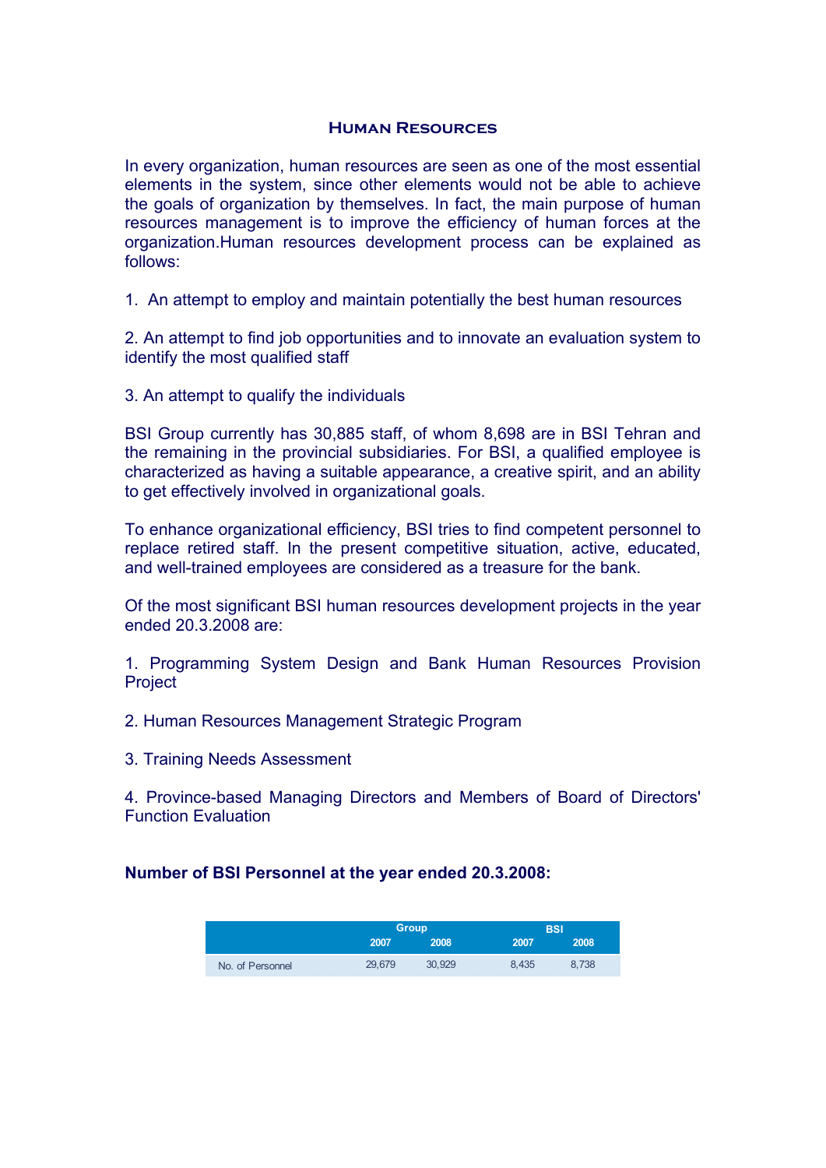### **Human Resources**

In every organization, human resources are seen as one of the most essential elements in the system, since other elements would not be able to achieve the goals of organization by themselves. In fact, the main purpose of human resources management is to improve the efficiency of human forces at the organization.Human resources development process can be explained as follows:

1. An attempt to employ and maintain potentially the best human resources

2. An attempt to find job opportunities and to innovate an evaluation system to identify the most qualified staff

3. An attempt to qualify the individuals

BSI Group currently has 30,885 staff, of whom 8,698 are in BSI Tehran and the remaining in the provincial subsidiaries. For BSI, a qualified employee is characterized as having a suitable appearance, a creative spirit, and an ability to get effectively involved in organizational goals.

To enhance organizational efficiency, BSI tries to find competent personnel to replace retired staff. In the present competitive situation, active, educated, and well-trained employees are considered as a treasure for the bank.

Of the most significant BSI human resources development projects in the year ended 20.3.2008 are:

1. Programming System Design and Bank Human Resources Provision **Project** 

2. Human Resources Management Strategic Program

3. Training Needs Assessment

4. Province-based Managing Directors and Members of Board of Directors' Function Evaluation

# **Number of BSI Personnel at the year ended 20.3.2008:**

|                  |        | <b>Group</b> | <b>BSI</b> |       |  |
|------------------|--------|--------------|------------|-------|--|
|                  | 2007   | 2008         | 2007       | 2008  |  |
| No. of Personnel | 29.679 | 30.929       | 8.435      | 8.738 |  |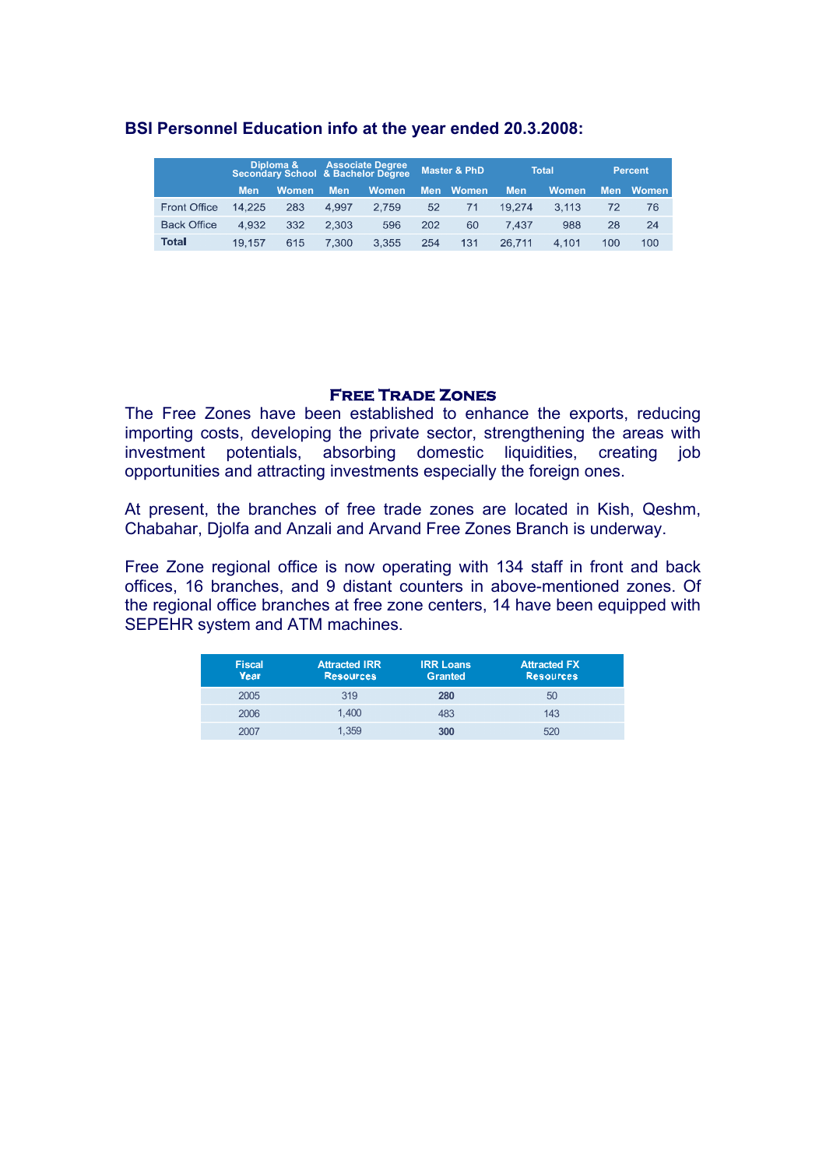## **BSI Personnel Education info at the year ended 20.3.2008:**

|                     |            |              | Diploma & Associate Degree<br>  Secondary School & Bachelor Degree |              | <b>Master &amp; PhD</b> |       | <b>Total</b> |              | <b>Percent</b> |       |
|---------------------|------------|--------------|--------------------------------------------------------------------|--------------|-------------------------|-------|--------------|--------------|----------------|-------|
|                     | <b>Men</b> | <b>Women</b> | Men                                                                | <b>Women</b> | Men                     | Women | Men          | <b>Women</b> | Men            | Women |
| <b>Front Office</b> | 14.225     | 283          | 4.997                                                              | 2.759        | 52                      | 71    | 19.274       | 3.113        | 72             | 76    |
| <b>Back Office</b>  | 4.932      | 332          | 2.303                                                              | 596          | 202                     | 60    | 7.437        | 988          | 28             | 24    |
| <b>Total</b>        | 19.157     | 615          | 7.300                                                              | 3.355        | 254                     | 131   | 26.711       | 4.101        | 100            | 100   |

### **Free Trade Zones**

The Free Zones have been established to enhance the exports, reducing importing costs, developing the private sector, strengthening the areas with investment potentials, absorbing domestic liquidities, creating job opportunities and attracting investments especially the foreign ones.

At present, the branches of free trade zones are located in Kish, Qeshm, Chabahar, Djolfa and Anzali and Arvand Free Zones Branch is underway.

Free Zone regional office is now operating with 134 staff in front and back offices, 16 branches, and 9 distant counters in above-mentioned zones. Of the regional office branches at free zone centers, 14 have been equipped with SEPEHR system and ATM machines.

| <b>Fiscal</b><br><b>Year</b> | <b>Attracted IRR</b><br><b>Resources</b> | <b>IRR Loans</b><br><b>Granted</b> | <b>Attracted FX</b><br><b>Resources</b> |
|------------------------------|------------------------------------------|------------------------------------|-----------------------------------------|
| 2005                         | 319                                      | 280                                | 50                                      |
| 2006                         | 1.400                                    | 483                                | 143                                     |
| 2007                         | 1.359                                    | 300                                | 520                                     |